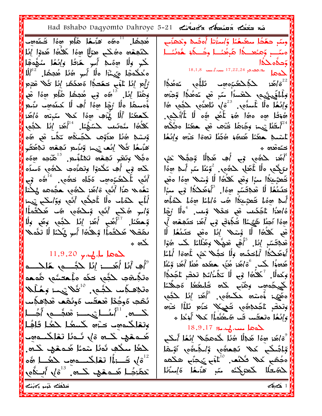Had Bshabo Daqyomto Dahroye 5-21 شهر المستمر المستمر المستمر المستمر المستمر المستمر المستمر المستمر المستمر ال

هُجِّعًا أَوْهُو فَيُمْا هُلُو وَوْ فَصَوْمِ لْمُتَّحِمُوهُ وَوُحْكِمْ مِرْكَلِ وَوَدًا لَكُلُّوا مُدَوْلَ إِنَّا لْكُبِرِ وِلًا هِدَّىجَ أَمِرٍ ـهَوَدًا وَإِنْهُا ـمُـهْدَهَا مْكْدْهِبْلْ مِنْ الْمَالِ أُمِرٍ هُنُا هُجِمُّا.  $\int_0^{12}$ الْل َّزُلُّهِ اللَّهُ تَحَمَّدُهُ! هَ مَكْمَةَ إِنَّا ثَلاَ هَدِهِمْ }<br>وَهُنَا إِنَّا فَ أَوَّه فِي مُدِهُا هُاْهِ وَهُ! هُمْ أَوْمَ وَهُمَا لَهُمْ وَهُمَا هُمْ وَمَا اللَّهِ وَهُمَ<br>وُوسِهُا وَلَا يُجْا وَهُ! أَفِ لَّا كَسَّم لْكَعِظَا ٱلْمُ لَهُوَ وَوَٰا كَلا سَبِّتُو وَٰاهَا: لَكْمَا مُوسَّبٍ حَسَّوُءًا. <sup>14</sup>أَهُ: إِنَّا حَجَّو وَّىسْطِ هُنُا هارَوُها لِلجَنةَ هَنْكُمْ: هُم هُه ْقَنُعُلْ ثَلاَ إِلَٰهٍ يَهِمْ وَإِنَّهُمْ تَجْعُوهِ لَجْعَفُو لَّكُلُّ فِي أُفِ تَكْدَوْا وَتَعَزُّدَتِ لِكَثَّى وَسَدُوا الَّـها لِّلْـحَمَّـٰہَ وَمِن مَّحَلُّه حَمَّـها وَ الْمَعْمَّـ وَ مِنْ الْمَعْمَّـةِ وَ مِنْ الْمَعْمَّـةِ وَ<br>يَهُمَـه مَـٰٓا أَلَفَ وَإِمَّدٍ لِحَمَّى هِجُمَعَه لِحَـٰٓتَا إِ بْسِنَ سِكْ ابْعَ وَمَا أَحِكْمِهِ أَنَّهِ وَوَّاسِكَ جِلَباً وَ*ٛا*لِّبِ شَكْبِ ٱللَّهِ وَّلْحَدَّةُها ۚ شَدَّخَّفَہُ!<br>وَحَمَّمُا ۚ <sup>آ</sup>َاهُمِ *اُ*هُن<sub>ِّ</sub> إِنَّا حَجَّهٖ ۚ وَهُرِ وَلَّا بِمَّعْكِ مَحْثُماً! وَجِدُّهُ! أَبِ يَكْنَا لَا تَذَمِكَ  $\cdot$  ఐ $\measuredangle$  $11.9.20$  y.y.  $1.1$ مَا أَمَّا أُهَّـــــز إنَّا  $\Delta$ جُــــــمِ هَا $\Delta$ ــــــم $^9$ مَعْشُوب حَجَّمٍ حَكَّه مِلْعَصَبُ هُمعه ەلكەتقىنى بىر ئىكەن. <sup>10</sup> ئىكەن تو**ھ**ىلىكلا ىُّقْتِ ەُوجُدَّا شَعتَكَ ەُوبُقْعَا شَدْخَلَابْ لَّكُ مِ فَسْرِينَ الْمُسَانِيِّ مِنْ الْمُسْلِمِينَ مِنْ أَجْرِ وتقلكتمون فثره كمنعكا كطا قافا كُسمِهْلِ ݣُــُ ۞ ۞ شَــُمُلْ تَعْلَمْــُـــمِّم لْحَمَّا سَكْفِ ثَمَّا شَمَّا مَّدَهْدِ كَلَّهِ. وَلَى خَـــزِمُّا تَعْلِكُــــوهـد لِلْعُـــا هُو $\int_0^{12}$ تَعَذَّبُ أَنْ أَنْ أَنْ مَنْ مَعْدَمٍ مِنْ أَنَّ أَيْ أَيْتَدُّو

وسًا حمَّحًا سعَّنمُنَا وَأَسْتَرَا أَوَصُّلَ وَتَعْقَبَ ومئسر وكمعلىذا كرهبا وكسكو حكونينا وحذه حذا  $18.1.8$  ملا، دھ، ھي  $17.22.24$  ميں، اُ، ميں ا  $\mathring{\mathcal{A}}$ ە ئالبان ئالبان ئالبان ئە وأَلِمَوْ يَجْرَى الْمَسْرَالِ مِّي مَا مَا مَا يَجْرُوا وَجَرْوا<br>وَإِنَّهُا وَلَا أَسَارُونَ وَ تَوْلِى تَاهَزُونِ حَجَّوَى وَا هُوَحُلٌ وهِ وهُلْ هُوَ ۚ أَهُى ۖ وَهُ لَا ۖ أَآٰ لَٰكِمِ ۖ وَ مَكُمُّا يَهِمْ وَجُرْهُا خُرْمَا هُرْهَ هَيْ هِعَمُّا وَجُلَّاهِ $\widetilde{l}^{24}$ لمُسْلِمِ هَجَدًا هَدَهُو هُجَدًا نَهِ وَا حَزْهِ وَإِنَّهُا ∻ ஐைக் أَهَٰذِ لِحَدُّورٍ ۚ وَبِي أُهِـ هَٰذِلًا ۖ وَجِجَْلا ۚ تَشَرِ اَهُمَا مِنْ أَهْلِهِ لِمَحْمَى الْمُحْلِمَةِ مِنْ أَحْرَبَ لَهُمْ مِنْ أَحِيثَةِ مِنْ أَحِيثَةِ مِن تَحْبَيْنِكُمْا مِبْرًا وَهْدٍ كَلاُّهُا لَّا وُسْلاً هِوْا وَهْدِ حَصَّنُ**هُ**ا لَّا مْحِلِّكُسُرِ وِهُا. <sup>3</sup>أُوْهَٰحِـٰٰهُا فِي ميُزا أَجْمِ مِهْمَ خَعْبَطِكُمُ اللهُ عَامَلُنَا مِهْمَا حَقَيْلِهِ  $\int_0^4\int_0^4$ اهزُا لمَكْسَد شَمْ حَمْلا وُحْسَد مَعْلا وُحْلاً وَهُا ٱجلًا هَيُمُاا خُذَوْفٌ فِي ٱهُذ حَنَّفِهُ ۚ ﴾ مَّع للأَهُا <sup>أ</sup>َلَّا <sub>قُ</sub>سْلا<sup>ً</sup> إِنَّا ه<sup>ِ</sup>مَ حَسَّعُا لًا مَحْكِضُبِ إِثَا<sub>ء</sub>ِ "أُهْي مَحْهُلا وِهُلْلْكِل كُبِ رَهُوْا أَوْهَدْ الْمَالَ أَلْمَاحَدُ وَلَا خَضِّكَ كَسُ لَاهِ وَالْمَالِمَ الْمَالِمَا الْمَالِمَا الْمَالِم هَدهوَا لَکٌ وَاهَدَ هُنَيْ لِمَعَدِدِهِ هُذَا أَهَدَ وَعُبُلُ وكولًا. <sup>ت</sup>كلاُهُ! وْجِ لَّا تكلَّمْ ُبُمُدً تَحصَرِ عَجَد<sup>ِ</sup>هُ! كَهِجُەھِٮ وِمُنْهِ كُلَّه خُلِمُعُمُل هَجِعُكُمُل وهُيُ: وُوسْهِ حَكْمَةُومِ. أُهُدَ إِنَّا حَجُّومِ وَتَدْشَرِ لْمُحْدَاةُ مِنْ فَحِيكَلا حَزَمِ تَلَمِّلَ حَزَمَ وْإِنْعُا هَتَعَقَّبَ فَ هُنَعْتُمَاْ كَلا أَوْخَا \* <u>لمعمل سن بي. مال 18.9.17</u> مَاهَا وَوَا مَجْلًا هُنَا كَمْحَكَمْ إِنْعًا أَسْكَمْ $\ell$  ) وَ*ٚڋػ*ؘٮڵۜػ؇؊ڣڡۿؘٯڔ؞ۅٞٳ؊ؙ؞ۿؘۅڔ؊ؘۊ۫؞ۿؖٳ<br>ۄۻؙۿۑ؆؉؊ڡؘ۫<sup>ۮؽ</sup>ڡڔ؞<sup>۩</sup>ٵۥ۠ٛؠ؞ؘؼڿۘڹ؋ڡڴڡڡ لاهُ تَعْلَمُ اللَّهُ مَيْ وَأَمَالَ وَإِسْرَتْنَا  $\kappa$ qi $\kappa$ q $\kappa$  1

كمنكم لمَهْم وكمُوكتُ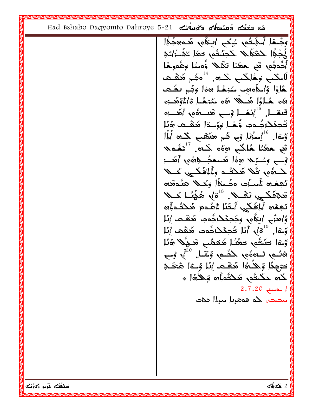Had Bshabo Daqyomto Dahroye 5-21 مَنْ بَيْنَ الْمُسْتَمَيْنَ بَيْنَ الْمُسْتَقْلِيَةِ بِمَنْ الْمُسْتَقْلِينَ وَجَعَفَا أَحِذَّبَكُمْ مُرِكَّبٍ النِّكُومِ هَـٰدِهِجُدًّا لَمُجُمُّل حَمْدَكُمْ حَكْجِنَحْمٍ حَمَّا تَكَسُّرُابُكِمْ أَجْدَبُهِ ۚ هَمِ ۖ ـ مَعَمُا تَكُلَّمُ ۖ وَّٰهَ وَهُدو مُا ۖ لَّاسْكَبِ وَهُلِكُبِ كُلُومٍ  $^{14}$  وَجَبِ هُدَّنَفَ هَٰٓاوُا وَٛآٰىدَاهِ مَا مَا مِنَا مِنَامِعًا وَجَـٰٓ بِمَـٰكَ 6ه هَـاوُا هَـــلَّلَا 6ه مَنْهُــا 16ْغُهَـٰـْهِ تَعقَــا. <sup>15</sup>إِنُعُــا ?ِـب مَّتـــرَّهَى أَهَّـــزَه تُحِدْكِرجُــوب ذُهُــا وَوُســةا هُـُفَــعـ هُـُل  $\check{\mathcal{A}}$ وَّےْ  $\check{\mathcal{A}}$  ، اِسْرُنَا وَبِ کَبِرِ مِنْھَبِ  $\mathcal{Z}$ ہ ہُ هُم مَعَمَّا مُما كُمٌّ مِهُم مَدٌّ . أَنْهُمْ لَا وْبِ وِسْبَرِيهِ رَهِمَا هُسْمِجُلِّدِهُمِ أَهَلَ: لْمُسْهُورٍ ۖ ثَلا مُعْلَمُد وِلْمِاقَكَسِي مَمِلا تَجَعُّدُ أَستُفٍ وَجُسَدًا وَكُلْمَ هَنُوْتُو مَّجْعَكَــــِي تَفْـــلاً. <sup>18</sup>ة) ۚ هُهُ*ئــا حُـــلا* تَجْعُمُ ٱلْمُكَلِّي ٱخْتُلَا لِمُحْمِمٍ هَٰكِثَمِلُهِ ۖ وُاهِنَّى ابْلُاهِ، وَجَحِدْكِ(جُوبِ هَٰذَهِ إِبْل  $j$ وُــةا.  $\delta^{19}$ لا خَجِدْكرجَهج هَـٰقَعــ إِنَّا $\delta$ وَّءْا حَمُّعُو حَمُّلْ هُـْعَمَّى هَــؤُلا هُ ُل  $\hat{\mathbf{e}}$ ڤَسْمِہ سَـ2ہُم کَجُسَم کَمِیْتَ اور سَمَع ک حَرْجِدًا وَجِدُهُا هَٰذَهِ إِبَا وَعَا هَٰزَكُــِدِ ∆ُ∞ مكْتُمٍ مَ*ُ*كْتُم}ُ∞ وَِٗكْتُهُا ٭  $2.7.20$  حميل محتف، لاه قومزيا مراا فلاف كمنابلا وأبدأ المتفاكم  $\mathbf{x}$ dir $\mathbf{A}$  2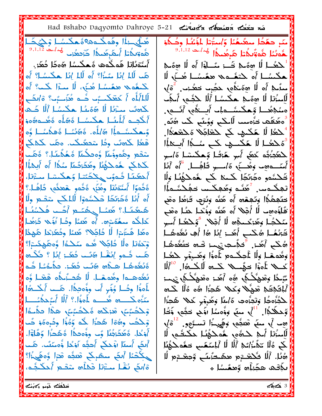Had Bshabo Daqyomto Dahroye 5-21 مَنْ بَيْنَ مَعْلَمَة بِمَسْتَمْتِكُمْ بَاسَة بِمَسْتَمْتِكُمْ بِمَ

هُلِّي زِلْمَ وَهُمَكَّمُعَهُ مَكْسُلٍ وَجَيْجُ هُوتِهُمْ أَحَكْرِهُمِهُ الْتَرْحِعَٰنِ مَنْ اللَّهِ 1.1.2 أَمْتَەْلُلْلا ھَمكَّەھ ەُھكْسُل ھَەكَل كُعَّرَ. هَٰبِ لَالاً إِنَّا مُبْزًا؟ أَهِ لَالاً إِنَّا هَكْسُلًا؟ أَه كْتْقُوبْ هَقْسُلْ هُنِّي، لَا سِرْا لَكْتْ؟ أَو لَلْمُلَمَّاهُ لَا كَعْكَسْبُبْ شُبْهِ هُزَسْبُو؟ 15/بكُب كُلوبُ مِنْزَنَا لَا هَوَّمُا هِكْسًا أَلَّا جُنْعَ أَكْدِء أَلَمْنُ الْمَكْسُنَا ةُهَلُّه ةُشْدَرُّه; وُتَعَكَّسُتُمَاءُ الْأَارُو. وَالْأَصَارُ وَقَالَ اللَّهُ وَالْمُسَلَّمَ وَوَ قَعُل كَمِّفْ وَدًا سْتَعْبَدْتَ. وَهَا كَلَمْكُمْ عْدْمْ وْهُووْمْلْا وْوْصْلْلا وْهْدّْمْلْا.؟ وْهْت كَمْكُمْ هُمْحَكْمُاْ وَهُدَّتْمَا سُمَّا أَه أَبِيْدَاً أحفظا فوقت وتفقين وتفقال متوثل هُدُوَا أَسْتَطْلَا وَهُنَّى هُدُو هَعِنْدَى دَاهُا.؟ أَه أَنَّا ةَحَرَّنَّكَا كَحْشَوْا لَّالِمْكَى عَضْع وِلَّا هَيعُسًا.؟ هَيسًا بِيهُمَي مِنْ اللهُ عَلَيْهِ مِنْ اللهُ عَلَيْهِ مِنْ كَالِكُمْ سَعُمُتْرُهُ. أَهْ هَٰئِنَا وَضَا أَؤُلِمْ فَرْهَٰدَا هِ هَٰذَا لَا دُاجَلا؟ هَٰننَا وِضُعُبْتَنَا هَٰهَٰذَا وْتْدُنْا وْلْا دّْاجُلا شْمْ سْكْدَا وُوْهَٰهِكْتْرَا؟ هَــد شُــدو إنشا هَنّـد تُعَـّـز إِنّا ؟ هَٰـَـُــم ةُتُعْمَعُا هِـكُلُّهُ هَنَّبٍ ثُعَبٌ. فَهُنَّا ثُنَّهُ يُعْدِهِـدا وهُدهَــا. لَا هُجــزُبِيْءَ فَعْــا وُه لَمُوزًا وضُلَّا وُؤُرٍ أَبَّ وِؤُودِهَا. هَـَـَّ أَكْتَرُواْ مَنُوكِ مِنْ هُـُ وَأُوْلُ: ۚ أَلَّا أَمْ كُمُ الْمَسْلَ وَحْدُمَىٰ هُنكُمْ مُحْدُمَىٰ هِمَّا مِمَّاطُ وْݣْكُتْ وْݣَادْا تّْكْتَارْ بْكُمْ وْكْوْا وْخُرْدَهْمْ شْتّْ أَوْخُلِ فَهَٰدَيْتُنَا وَۦ وِؤُوطِهَا فَطَحَرَٰا وَقَاوَّا. أَلَّكُمْ أَمْثَلُمْ اوْحَكُمْ أَحَثُهُ أَوْخُلْ وُّەمَّنْتُ. هُـت وَانُرِهُمْ وَابَعْهِ مَعْبِكُمْ شَيْئًا وَمَعَىٰ ة/بَعْ نُقْلِ مِثْرْلِ دْهَلُو عْدْمِ أَحَكْجُمْ،

مَّدِ حَمَّدًا مِعْبَقْنَا وَٱسْتَرْبَا إِذْتُنَا وِدُيَّةَ هُولُمُا هُوقُلاً هُوهُما هُرِهُما الْكَاسَةِ 1.12. لْحَعُــا لَٰا هوَّـج خَـــز مِّـــازْا أَو لَٰا هوَّـج هكْسُلاً أَو كَتْقُوهِ مَعْسُلِ مُحَيَّى لَل لَاسْتُهَا لَا هِمَيْهِ حَكْسُنَا ٱلْلَّكْتُبِينَ ٱلْجُبَ وْمِدْمِدًا وَجْعَكْمِشْتْدَامَ أَيْتِدَاهِ أَشْتَهِ. ُّەھُكَى دَاُومىي لَّامْكَى وَوُمَّى كُب ھُكُمْ . حَمَٰلَ لَا حَكَـٰهِـ ۚ كَبِ كَعْلَاجُلًا مَكْعَمَدًا ﴾ -تَمَحْشَا لَا هَكْسِيَ كَبِ سُـٰجَا أَبِـٰهَاْ لحَعَجَبُوْء كَعَجِ أَبِرٍ لَهَرْدًا وَحَكَّسْنَا وَأَسِرِ أَمَـُــــدوهِــ وَهُــــنَىٰ هَامـــبر قُاهُـــا. ۚ أَهْ أَنُـاْ كَحْشُوهِ وَجَرَبُكَا كَحْمَدْ كُلِّ هُوَحَكُهُمْ وَلَٰا لَعِكُــهِ مِنْ أَهَنُــهِ وَهُـعِكْــما حَفُكْـشَــه أَل حَنَّجِعُجُا وَنَجِعَمَ أَه هَنَّه وَنُوَجٍ كَرْهُا هِ مَي َقَاؤُهِ لَا أُجْلاً أَه هُنُه وَوُكُما حَبَّا هَفَّ مَكْحُـا وَهُزَىْـــدْةِ لَا أُثْبَكْ. ۚ وُكْــَـدُّا أُــبِّرِ كَمِلا نَمُوزًا حَهُمِلا كَمِنْ لَلْكُمْ أَلْمَا الْأَلْمَانُ مْ يَبْدُا وَهْدِيْكُمْ ۚ وَهِ أَهَٰ وَهُدِيَكُمْ يَبِ وَسَيْدَ الْمَدِينَ وَلَدْ يَبْدَ أَ،لِمَكْمِدَكُمْ شَوْبُلا مِكْلا هَا مَا اللَّهُ عَلَى مَالًا لَكُلُّهَا وَالْمَرْكُمْ وَالْمَرْكَب َكَجُنُّوجُا وَبْجُوْدِ وَلا مُلْ وَهُبِوْبِرٍ كَلا ۖ هُجُرَا وَّحْكُكُمَال ۚ أَلَّٰ سَبِّ وَوُّدَسُا اوَّى حَجَّى وَّحُلُّ  $\sqrt{6}$  مِنْ هَبْدُهِ وَهَيْ أَلْمَسْؤَهْدِ  $\sqrt{6}$ |لَاسْتُمْا أَسْمْ لَحْدَثُوهِ هُوحَكْهُمَا حَكَّمَتُوهِ لَٰا لَّكُمْ وَلَا تَذَكَّرُ ٱلْمُؤْلَّلُ الْمُتَعَمِّسِ حَمَّوكُمُلَّا } |هُنُا. أَلَّا تَكْتَدْمٍ مِنَفَّحَنَّتَ وَجِعْدَهِ لَّا أَبْلَاتُهَا هَجَٰ;أَآه وُهمُننَا ﴾

سُلمُلُک ذَبَب اللهُ اللهَ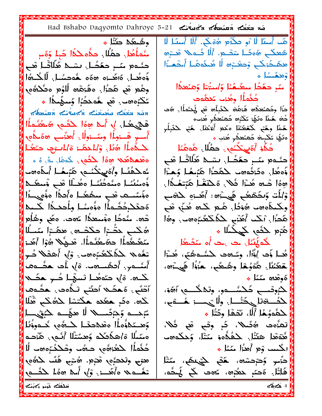Had Bshabo Daqyomto Dahroye 5-21 شهر المستمر المستمر المستمر المستمر المستمر المستمر المستمر المستمر المستمر ال

وهُبعُكُمْ حِنْنُا ﴾ عْدَامُدا. حمُلًا. حِدُّە كِدًا حَرا وَمَّى حنْـه من حَمْحُـا. بشـــم مَّكَلاَتْــا هَب وُوهُما. وَاهُمْزِهِ 30هُ هُومِسُا. لَا كُلُّ هُ وهُم هُم هُدُا. وفَرْهُه لُاوُم وثَلاَقُوم عَكَرُهِ مِن. هُم هُمَحَدُرًا وَسَهِّمَاً \* Khrion Kirinth Kirinin Kirin min فَحَيْهِمًا. ﴾ أَحَمَ اهْمِ هَذَا لَحَقَّمِ هَمْشُمَلًا أسبر فَسزواً! وسُسزواً!. أهنَّس 50 مؤَدي لِحَدُّهِ أَلَّا الْمُثَلِ. وَٱلْمَحْصَدِ هَٱلْمَسْوَبِ حَمَٰعُـا ە ئوملائىللا بوە كەم بىگەغل بىش ۋە ثَمَكَ فَيُكُنُّبُ مِنْكُرِينَ أَنْكُمُوهَا لَهُ أَنْكُمُوهَا ؤُهِمُنُنُا هِمُهَكِّنُا هِ هُــُلا هُبِ وُمِعَــٰهِ وَفَسَّىكَ هُبِ سَعُعُمَا وأَصَدًا وَفَوِيمَا أَ ةحثكرحُضُماُ! هؤْهسُا وأحمـدًا لَحْـمد دُّه. مُدَدًا هُوَمَعِيدًا £20. هِ وَهُلُع هُكُبِ حَثَّـٰٓءٍ! حَكْـَـُـهِ. هِمَّـَءٍ! مَمْــُلا مَعَصَّعُدًا حَوَّمَعُنَّدَاً. مَحِيَّلاً وَوَا أَمَّــ; تَعُمِد لِلْمُتَكَفِّئِرُهُ مِن. وَلِي أَهْفَلا صُو كْتُمْ. ۞﴾ حَمْمُصَا تَسْهَيَا ضُـوِ حَضَيْهِ أَتْشَى ﴾ هَحَكَمَ أَصَّنَى الْمُأَهَف ِ حَصَّوها كَهِ. وَمَ حَقَدِهِ حَكْتَمْا لِهُكُمْ شَلَا وَهِــَـٰهِوْمَاْلِ هِ هَـٰهَـٰدَــا لِــٰـوُهِ وَ عُــٰدِوِوْنُا مِمَّىلًا 16هِكُوكُد وُهِمَّتْلًا أَنُدِ. هَّرَهِد حُذَّمَاً الحَمُّرْ، وَصِحْبَ وَصَحْدُ وَصَحْدُ الْمَ هتِي وِلَكْتُوبِ هُدْمٍ. شُدْبِي هُنَّكَ لَحَدُّهِ، تَعْسَمَهُ هَأَهَــز. وْلِي أَسْهِ هَاهُمْ لِمَشْسَمِهِ

سُلمُنُكُمْ مَهُومٍ وَكَاوُسُكُمْ

هُب أَمِيًّا لَا أَو حَكَّامَ 55كُ. أَلَّا أَمِيًّا لَّا هُعكَے هُوصًا عْصُـْع. أَلَّا شُـُمِلًا مْـَـْهِ مدَهَّمَٰدُنِكُمْ وْحَمْدْرُهُ لَا مُحْدُهُمْ الْمُحْمَزَّا ÷ Luâoî لَّمَّدِ حَقَّحًا سَعَّنَقْنَا وَٱسْتَرْبَأَ وَصَنْعَدًا كُنُّه∫ًا وهُزم كَكفُّهِ دَٰۥٗا وحَٰهئَعدَاه هَٰٓ;هُمۡهَ حَـدۡبِلۡهِ ۚ هَى لَحُنُهدَٰاٗا. هَٰٓت دُهْ ـهُـْدُا هَكُمْ: عُكْبُرْه كَـٰمَنْعَـٰهُمْ هُـٰهَـٰـه هَمنُا وهَبْ كَمْعَنْنَا هَكُمْ أَوْكُنَا. هَبْ كَذَرِلُهِ ەلَكُمْ: عَكَبِّمَةَ هُمْتَعَجَّابِ هُدَبٍ \* صُلَّاءَ ٱوَّلِيَكْتُمِ . حَمُّلًا . هُوصُّا حنْدَم مَّبِ حَمَّضًا. نشبه هَٰلَاتْنَا هُبِ وَّەھُل: ەكْرْخُەھب لاھَكْرَا هَرَّىمْل وَحَيَّا هِهُا شَـهِ هُـْأَا ثَلا. هَكْتُغْـا هَٰئِتُغُـدًا. وْالْمْتْ وَبِحُقْعَكُمْ هَٰيْ آهَ: أَهَدْوِهِ لِلْأَهْمَى وِكْمِكُوهِمْ هُوْطُ. هُـُع كُـُهِ هُـُوُ هُمْ هَٰدُا. آتك أهُنْهِ حِكْمُخْصَوْهِ وَمَا أُهُمْ لِكُمْ كَبِكْسًا \* لْحُمْ يُبْتُلْ. بِدِينَ أَوْ يَتَضَعْلَ هُما ذَبِ إِذًا، وسُهِم حَسْمِعُهُ، هُــْزَا تَعْطَيْنًا. هُدَوُهَا وِهُتَعَبٍ، هَزْوًا هَيْءَ۞، ) ەوقدە مى*نا* ھ ∖مُ وقب كَلمُنْسَمو، ولككُسم أَلأَة، ، موق**َصْهْ فِـمْسِنْ الْمَ يَاصَرْتْ مِنْ الْمَ**سْتَمْكَ مِنْ مَسْتَمْكَ ِ كَحُدُوُهُا ٱلْلَّهِ تَدَهْلُ وَكُتُلُ \* تَعْنُوت وُضَلا، ثُم وقْعٍ قُولاً، هُتَوْمًا هِنَنُا. حَفُّأُوذِ مَنْتَا، وُحَكُّوهِب الكتيب وْمِ أَهْزًا مِّنَا \* دَّىبِ وَحَرْحِسْهِ، هَتَى لِحَيْمِيهِ، مَثَلَ فَاتَلْ. هُحَمٌ حَمْدٌمِه، مُحد لَّحْ لِمُحَّد،